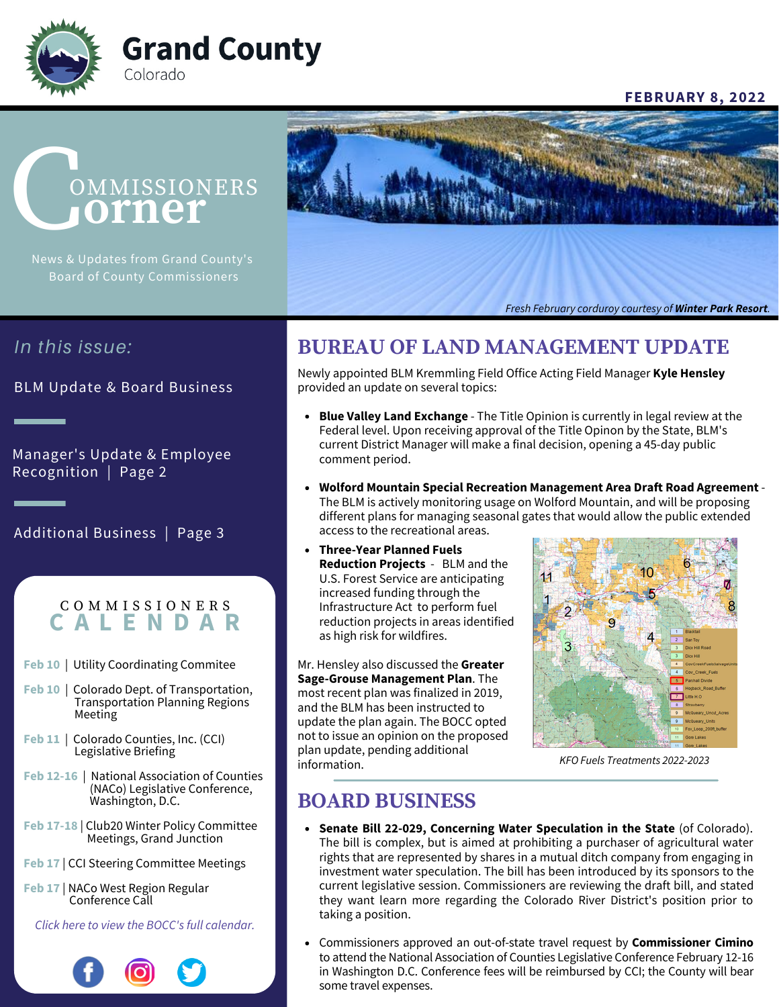

### **FEBRUARY 8, 2022**

# **OMMISSIONERS orner**

Board of County Commissioners



## *In this issue:*

BLM Update & Board Business

Manager's Update & Employee Recognition | Page 2

Additional Business | Page 3

### C O M M I S S I O N E R S **C A L E N D A R**

- **Feb 10** | Utility Coordinating Commitee
- **Feb 10** | Colorado Dept. of Transportation, Transportation Planning Regions Meeting
- **Feb 11** | Colorado Counties, Inc. (CCI) Legislative Briefing
- **Feb 12-16** | National Association of Counties (NACo) Legislative Conference, Washington, D.C.
- **Feb 17-18** | Club20 Winter Policy Committee Meetings, Grand Junction
- **Feb 17** | CCI Steering Committee Meetings
- **Feb 17** | NACo West Region Regular Conference Call

*[Click here to view the BOCC's full calendar.](https://www.co.grand.co.us/CivicAlerts.aspx?AID=475)*



# **BUREAU OF LAND MANAGEMENT UPDATE**

Newly appointed BLM Kremmling Field Office Acting Field Manager **Kyle Hensley** provided an update on several topics:

- **Blue Valley Land Exchange**  The Title Opinion is currently in legal review at the Federal level. Upon receiving approval of the Title Opinon by the State, BLM's current District Manager will make a final decision, opening a 45-day public comment period.
- **Wolford Mountain Special Recreation Management Area Draft Road Agreement**  The BLM is actively monitoring usage on Wolford Mountain, and will be proposing different plans for managing seasonal gates that would allow the public extended access to the recreational areas.
- **Three-Year Planned Fuels Reduction Projects** - BLM and the U.S. Forest Service are anticipating increased funding through the Infrastructure Act to perform fuel reduction projects in areas identified as high risk for wildfires.

Mr. Hensley also discussed the **Greater Sage-Grouse Management Plan**. The most recent plan was finalized in 2019, and the BLM has been instructed to update the plan again. The BOCC opted not to issue an opinion on the proposed plan update, pending additional



KFO Fuels Treatments 2022-2023

# **BOARD BUSINESS**

- **Senate Bill 22-029, Concerning Water Speculation in the State** (of Colorado). The bill is complex, but is aimed at prohibiting a purchaser of agricultural water rights that are represented by shares in a mutual ditch company from engaging in investment water speculation. The bill has been introduced by its sponsors to the current legislative session. Commissioners are reviewing the draft bill, and stated they want learn more regarding the Colorado River District's position prior to taking a position.
- Commissioners approved an out-of-state travel request by **Commissioner Cimino** to attend the National Association of Counties Legislative Conference February 12-16 in Washington D.C. Conference fees will be reimbursed by CCI; the County will bear some travel expenses.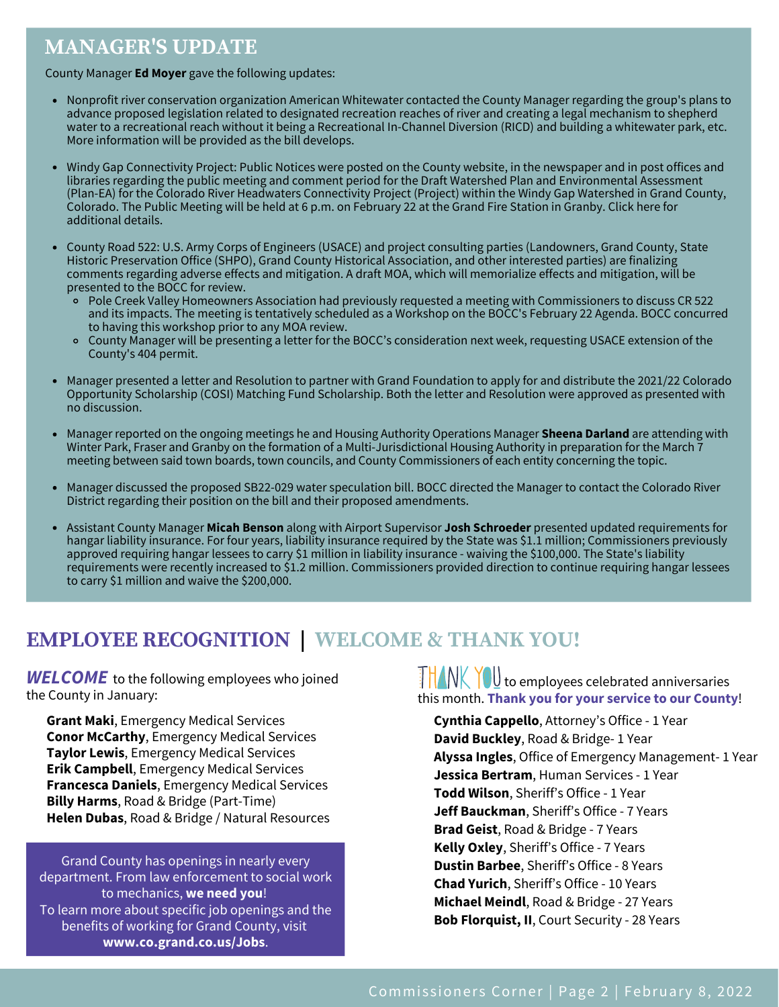# **MANAGER'S UPDATE**

County Manager **Ed Moyer** gave the following updates:

- Nonprofit river conservation organization American Whitewater contacted the County Manager regarding the group's plans to advance proposed legislation related to designated recreation reaches of river and creating a legal mechanism to shepherd water to a recreational reach without it being a Recreational In-Channel Diversion (RICD) and building a whitewater park, etc. More information will be provided as the bill develops.
- Windy Gap Connectivity Project: Public Notices were posted on the County website, in the newspaper and in post offices and libraries regarding the public meeting and comment period for the Draft Watershed Plan and Environmental Assessment (Plan-EA) for the Colorado River Headwaters Connectivity Project (Project) within the Windy Gap Watershed in Grand County, Colorado. The Public Meeting will be held at 6 p.m. on February 22 at the Grand Fire Station in Granby. [Click](https://www.nrcs.usda.gov/wps/portal/nrcs/detail/co/programs/farmbill/rcpp/?cid=nrcseprd1326277) here for [additional](https://www.nrcs.usda.gov/wps/portal/nrcs/detail/co/programs/farmbill/rcpp/?cid=nrcseprd1326277) details.
- County Road 522: U.S. Army Corps of Engineers (USACE) and project consulting parties (Landowners, Grand County, State Historic Preservation Office (SHPO), Grand County Historical Association, and other interested parties) are finalizing comments regarding adverse effects and mitigation. A draft MOA, which will memorialize effects and mitigation, will be presented to the BOCC for review.
	- Pole Creek Valley Homeowners Association had previously requested a meeting with Commissioners to discuss CR 522 and its impacts. The meeting is tentatively scheduled as a Workshop on the BOCC's February 22 Agenda. BOCC concurred to having this workshop prior to any MOA review.
	- County Manager will be presenting a letter for the BOCC's consideration next week, requesting USACE extension of the County's 404 permit.
- Manager presented a letter and Resolution to partner with Grand Foundation to apply for and distribute the 2021/22 Colorado Opportunity Scholarship (COSI) Matching Fund Scholarship. Both the letter and Resolution were approved as presented with no discussion.
- Manager reported on the ongoing meetings he and Housing Authority Operations Manager **Sheena Darland** are attending with Winter Park, Fraser and Granby on the formation of a Multi-Jurisdictional Housing Authority in preparation for the March 7 meeting between said town boards, town councils, and County Commissioners of each entity concerning the topic.
- Manager discussed the proposed SB22-029 water speculation bill. BOCC directed the Manager to contact the Colorado River District regarding their position on the bill and their proposed amendments.
- Assistant County Manager **Micah Benson** along with Airport Supervisor **Josh Schroeder** presented updated requirements for hangar liability insurance. For four years, liability insurance required by the State was \$1.1 million; Commissioners previously approved requiring hangar lessees to carry \$1 million in liability insurance - waiving the \$100,000. The State's liability requirements were recently increased to \$1.2 million. Commissioners provided direction to continue requiring hangar lessees to carry \$1 million and waive the \$200,000.

# **EMPLOYEE RECOGNITION | WELCOME & THANK YOU!**

**WELCOME** to the following employees who joined the County in January:

**Grant Maki**, Emergency Medical Services **Conor McCarthy**, Emergency Medical Services **Taylor Lewis**, Emergency Medical Services **Erik Campbell**, Emergency Medical Services **Francesca Daniels**, Emergency Medical Services **Billy Harms**, Road & Bridge (Part-Time) **Helen Dubas**, Road & Bridge / Natural Resources

Grand County has openings in nearly every department. From law enforcement to social work to mechanics, **we need you**! To learn more about specific job openings and the benefits of working for Grand County, visit **[www.co.grand.co.us/Jobs](https://www.co.grand.co.us/Jobs.aspx)**.

### **FRANK YOU** to employees celebrated anniversaries this month. **Thank you for your service to our County**!

**Cynthia Cappello**, Attorney's Office - 1 Year **David Buckley**, Road & Bridge- 1 Year **Alyssa Ingles**, Office of Emergency Management- 1 Year **Jessica Bertram**, Human Services - 1 Year **Todd Wilson**, Sheriff's Office - 1 Year **Jeff Bauckman**, Sheriff's Office - 7 Years **Brad Geist**, Road & Bridge - 7 Years **Kelly Oxley**, Sheriff's Office - 7 Years **Dustin Barbee**, Sheriff's Office - 8 Years **Chad Yurich**, Sheriff's Office - 10 Years **Michael Meindl**, Road & Bridge - 27 Years **Bob Florquist, II**, Court Security - 28 Years